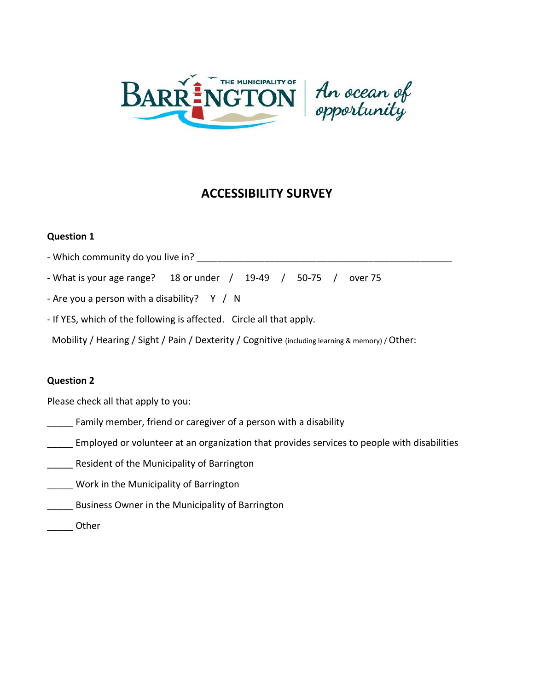



# **ACCESSIBILITY SURVEY**

# **Question 1**

- Which community do you live in? \_\_\_\_\_\_\_\_\_\_\_\_\_\_\_\_\_\_\_\_\_\_\_\_\_\_\_\_\_\_\_\_\_\_\_\_\_\_\_\_\_\_\_\_\_\_\_\_\_

- What is your age range? 18 or under / 19-49 / 50-75 / over 75

- Are you a person with a disability?  $Y / N$ 

- If YES, which of the following is affected. Circle all that apply.

Mobility / Hearing / Sight / Pain / Dexterity / Cognitive (including learning & memory) / Other:

# **Question 2**

Please check all that apply to you:

- Family member, friend or caregiver of a person with a disability
- Employed or volunteer at an organization that provides services to people with disabilities
- **\_\_\_\_\_** Resident of the Municipality of Barrington
- **\_\_\_\_\_** Work in the Municipality of Barrington
- Business Owner in the Municipality of Barrington
- \_\_\_\_\_ Other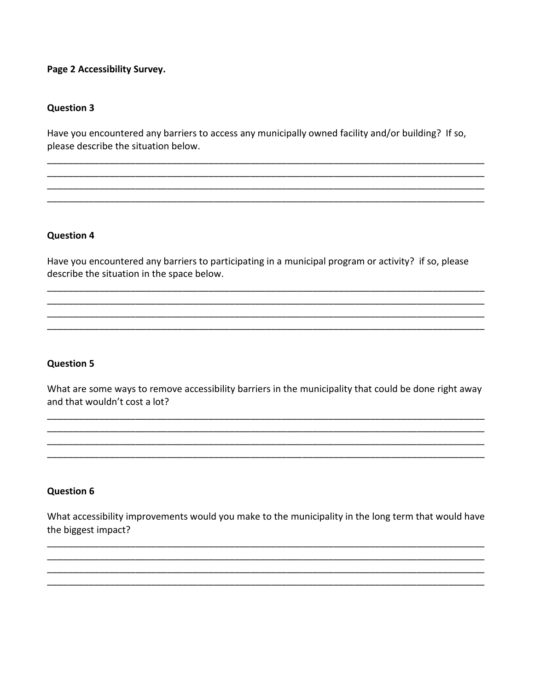## Page 2 Accessibility Survey.

#### **Question 3**

Have you encountered any barriers to access any municipally owned facility and/or building? If so, please describe the situation below.

## **Question 4**

Have you encountered any barriers to participating in a municipal program or activity? if so, please describe the situation in the space below.

#### **Question 5**

What are some ways to remove accessibility barriers in the municipality that could be done right away and that wouldn't cost a lot?

#### **Question 6**

What accessibility improvements would you make to the municipality in the long term that would have the biggest impact?